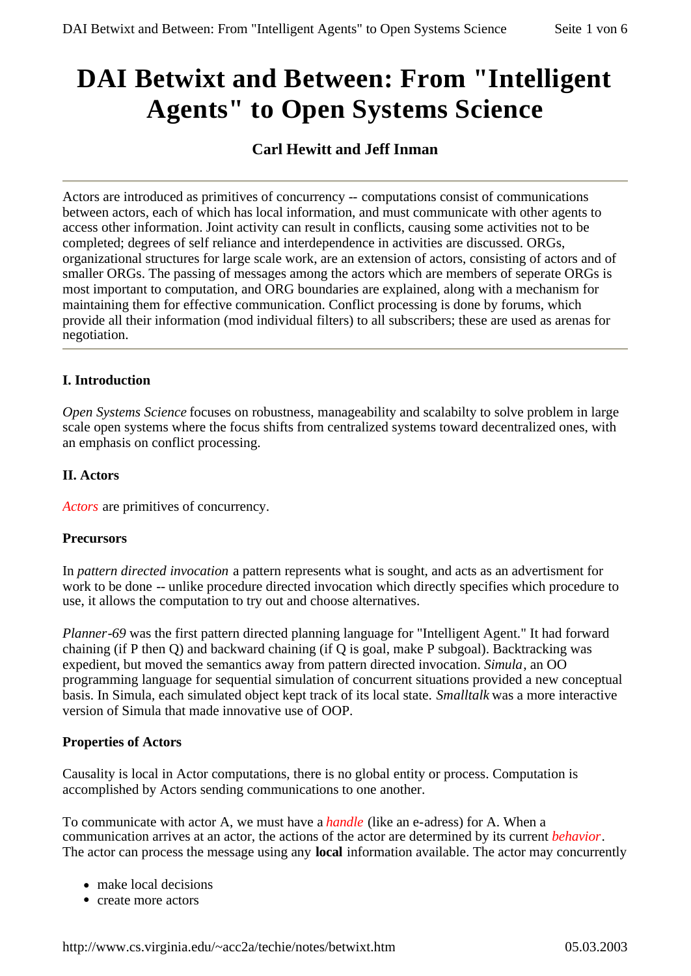# **DAI Betwixt and Between: From "Intelligent Agents" to Open Systems Science**

## **Carl Hewitt and Jeff Inman**

Actors are introduced as primitives of concurrency -- computations consist of communications between actors, each of which has local information, and must communicate with other agents to access other information. Joint activity can result in conflicts, causing some activities not to be completed; degrees of self reliance and interdependence in activities are discussed. ORGs, organizational structures for large scale work, are an extension of actors, consisting of actors and of smaller ORGs. The passing of messages among the actors which are members of seperate ORGs is most important to computation, and ORG boundaries are explained, along with a mechanism for maintaining them for effective communication. Conflict processing is done by forums, which provide all their information (mod individual filters) to all subscribers; these are used as arenas for negotiation.

## **I. Introduction**

*Open Systems Science* focuses on robustness, manageability and scalabilty to solve problem in large scale open systems where the focus shifts from centralized systems toward decentralized ones, with an emphasis on conflict processing.

## **II. Actors**

*Actors* are primitives of concurrency.

#### **Precursors**

In *pattern directed invocation* a pattern represents what is sought, and acts as an advertisment for work to be done -- unlike procedure directed invocation which directly specifies which procedure to use, it allows the computation to try out and choose alternatives.

*Planner-69* was the first pattern directed planning language for "Intelligent Agent." It had forward chaining (if P then Q) and backward chaining (if Q is goal, make P subgoal). Backtracking was expedient, but moved the semantics away from pattern directed invocation. *Simula*, an OO programming language for sequential simulation of concurrent situations provided a new conceptual basis. In Simula, each simulated object kept track of its local state. *Smalltalk* was a more interactive version of Simula that made innovative use of OOP.

#### **Properties of Actors**

Causality is local in Actor computations, there is no global entity or process. Computation is accomplished by Actors sending communications to one another.

To communicate with actor A, we must have a *handle* (like an e-adress) for A. When a communication arrives at an actor, the actions of the actor are determined by its current *behavior*. The actor can process the message using any **local** information available. The actor may concurrently

- $\bullet$  make local decisions
- create more actors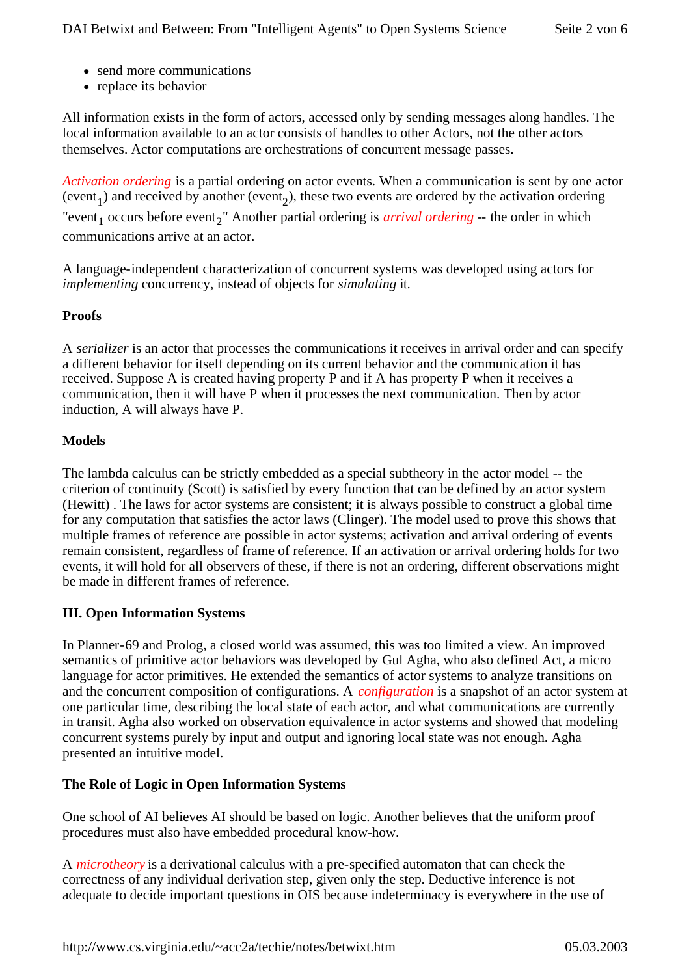- send more communications
- replace its behavior

All information exists in the form of actors, accessed only by sending messages along handles. The local information available to an actor consists of handles to other Actors, not the other actors themselves. Actor computations are orchestrations of concurrent message passes.

*Activation ordering* is a partial ordering on actor events. When a communication is sent by one actor (event<sub>1</sub>) and received by another (event<sub>2</sub>), these two events are ordered by the activation ordering "event<sub>1</sub> occurs before event<sub>2</sub>" Another partial ordering is *arrival ordering* -- the order in which communications arrive at an actor.

A language-independent characterization of concurrent systems was developed using actors for *implementing* concurrency, instead of objects for *simulating* it.

## **Proofs**

A *serializer* is an actor that processes the communications it receives in arrival order and can specify a different behavior for itself depending on its current behavior and the communication it has received. Suppose A is created having property P and if A has property P when it receives a communication, then it will have P when it processes the next communication. Then by actor induction, A will always have P.

## **Models**

The lambda calculus can be strictly embedded as a special subtheory in the actor model -- the criterion of continuity (Scott) is satisfied by every function that can be defined by an actor system (Hewitt) . The laws for actor systems are consistent; it is always possible to construct a global time for any computation that satisfies the actor laws (Clinger). The model used to prove this shows that multiple frames of reference are possible in actor systems; activation and arrival ordering of events remain consistent, regardless of frame of reference. If an activation or arrival ordering holds for two events, it will hold for all observers of these, if there is not an ordering, different observations might be made in different frames of reference.

## **III. Open Information Systems**

In Planner-69 and Prolog, a closed world was assumed, this was too limited a view. An improved semantics of primitive actor behaviors was developed by Gul Agha, who also defined Act, a micro language for actor primitives. He extended the semantics of actor systems to analyze transitions on and the concurrent composition of configurations. A *configuration* is a snapshot of an actor system at one particular time, describing the local state of each actor, and what communications are currently in transit. Agha also worked on observation equivalence in actor systems and showed that modeling concurrent systems purely by input and output and ignoring local state was not enough. Agha presented an intuitive model.

#### **The Role of Logic in Open Information Systems**

One school of AI believes AI should be based on logic. Another believes that the uniform proof procedures must also have embedded procedural know-how.

A *microtheory* is a derivational calculus with a pre-specified automaton that can check the correctness of any individual derivation step, given only the step. Deductive inference is not adequate to decide important questions in OIS because indeterminacy is everywhere in the use of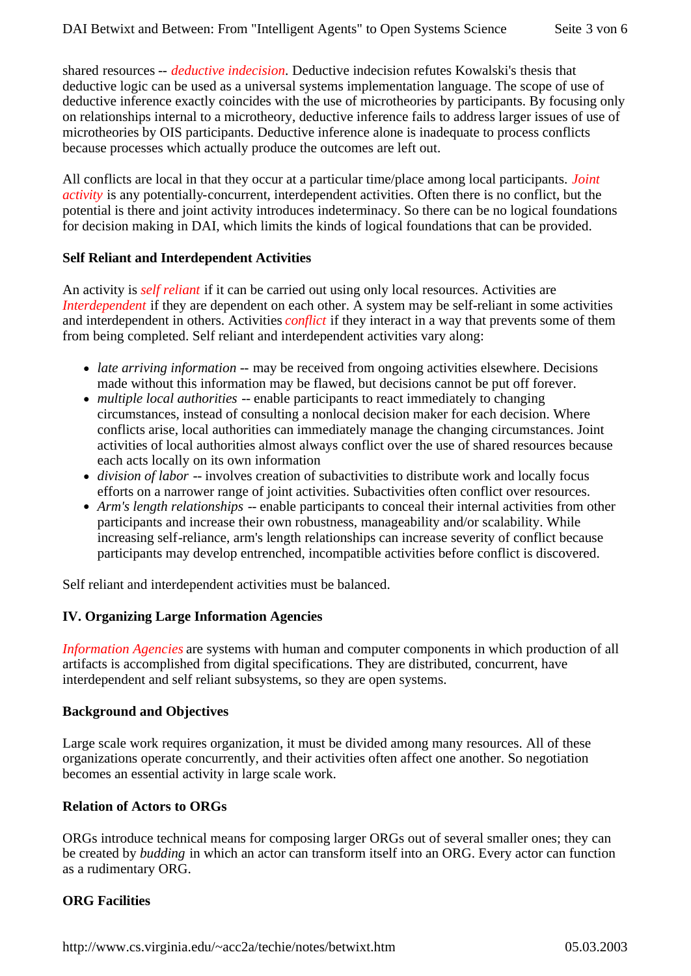shared resources -- *deductive indecision*. Deductive indecision refutes Kowalski's thesis that deductive logic can be used as a universal systems implementation language. The scope of use of deductive inference exactly coincides with the use of microtheories by participants. By focusing only on relationships internal to a microtheory, deductive inference fails to address larger issues of use of microtheories by OIS participants. Deductive inference alone is inadequate to process conflicts because processes which actually produce the outcomes are left out.

All conflicts are local in that they occur at a particular time/place among local participants. *Joint activity* is any potentially-concurrent, interdependent activities. Often there is no conflict, but the potential is there and joint activity introduces indeterminacy. So there can be no logical foundations for decision making in DAI, which limits the kinds of logical foundations that can be provided.

#### **Self Reliant and Interdependent Activities**

An activity is *self reliant* if it can be carried out using only local resources. Activities are *Interdependent* if they are dependent on each other. A system may be self-reliant in some activities and interdependent in others. Activities *conflict* if they interact in a way that prevents some of them from being completed. Self reliant and interdependent activities vary along:

- *late arriving information* -- may be received from ongoing activities elsewhere. Decisions made without this information may be flawed, but decisions cannot be put off forever.
- *multiple local authorities* -- enable participants to react immediately to changing circumstances, instead of consulting a nonlocal decision maker for each decision. Where conflicts arise, local authorities can immediately manage the changing circumstances. Joint activities of local authorities almost always conflict over the use of shared resources because each acts locally on its own information
- *division of labor* -- involves creation of subactivities to distribute work and locally focus efforts on a narrower range of joint activities. Subactivities often conflict over resources.
- *Arm's length relationships* -- enable participants to conceal their internal activities from other participants and increase their own robustness, manageability and/or scalability. While increasing self-reliance, arm's length relationships can increase severity of conflict because participants may develop entrenched, incompatible activities before conflict is discovered.

Self reliant and interdependent activities must be balanced.

## **IV. Organizing Large Information Agencies**

*Information Agencies* are systems with human and computer components in which production of all artifacts is accomplished from digital specifications. They are distributed, concurrent, have interdependent and self reliant subsystems, so they are open systems.

## **Background and Objectives**

Large scale work requires organization, it must be divided among many resources. All of these organizations operate concurrently, and their activities often affect one another. So negotiation becomes an essential activity in large scale work.

## **Relation of Actors to ORGs**

ORGs introduce technical means for composing larger ORGs out of several smaller ones; they can be created by *budding* in which an actor can transform itself into an ORG. Every actor can function as a rudimentary ORG.

## **ORG Facilities**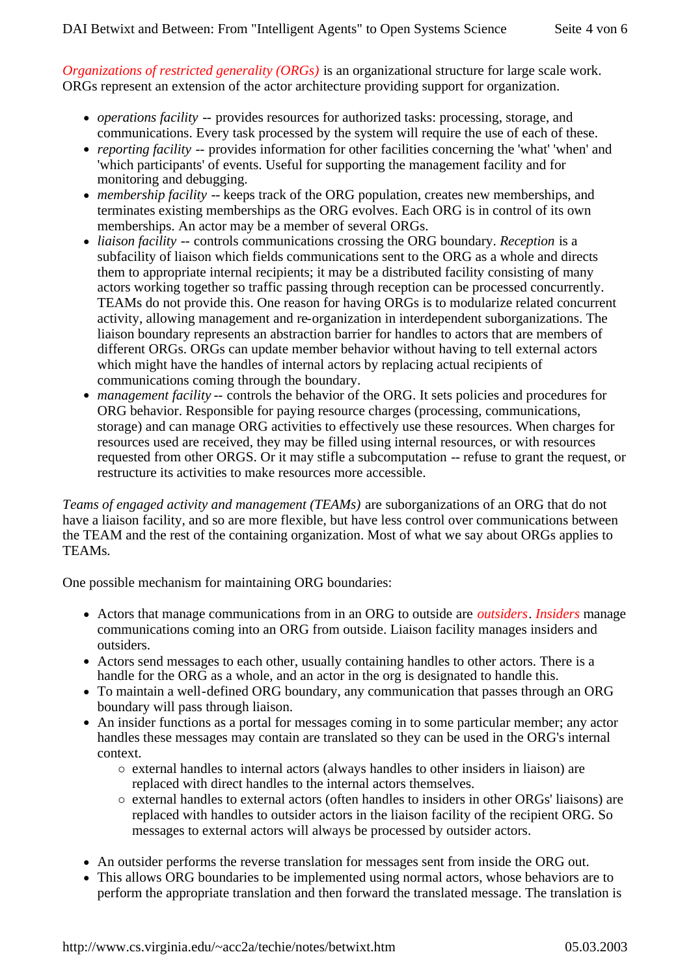*Organizations of restricted generality (ORGs)* is an organizational structure for large scale work. ORGs represent an extension of the actor architecture providing support for organization.

- *operations facility* -- provides resources for authorized tasks: processing, storage, and communications. Every task processed by the system will require the use of each of these.
- *reporting facility* -- provides information for other facilities concerning the 'what' 'when' and 'which participants' of events. Useful for supporting the management facility and for monitoring and debugging.
- *membership facility* -- keeps track of the ORG population, creates new memberships, and terminates existing memberships as the ORG evolves. Each ORG is in control of its own memberships. An actor may be a member of several ORGs.
- *liaison facility* -- controls communications crossing the ORG boundary. *Reception* is a subfacility of liaison which fields communications sent to the ORG as a whole and directs them to appropriate internal recipients; it may be a distributed facility consisting of many actors working together so traffic passing through reception can be processed concurrently. TEAMs do not provide this. One reason for having ORGs is to modularize related concurrent activity, allowing management and re-organization in interdependent suborganizations. The liaison boundary represents an abstraction barrier for handles to actors that are members of different ORGs. ORGs can update member behavior without having to tell external actors which might have the handles of internal actors by replacing actual recipients of communications coming through the boundary.
- *management facility* -- controls the behavior of the ORG. It sets policies and procedures for ORG behavior. Responsible for paying resource charges (processing, communications, storage) and can manage ORG activities to effectively use these resources. When charges for resources used are received, they may be filled using internal resources, or with resources requested from other ORGS. Or it may stifle a subcomputation -- refuse to grant the request, or restructure its activities to make resources more accessible.

*Teams of engaged activity and management (TEAMs)* are suborganizations of an ORG that do not have a liaison facility, and so are more flexible, but have less control over communications between the TEAM and the rest of the containing organization. Most of what we say about ORGs applies to TEAMs.

One possible mechanism for maintaining ORG boundaries:

- <sup>l</sup> Actors that manage communications from in an ORG to outside are *outsiders*. *Insiders* manage communications coming into an ORG from outside. Liaison facility manages insiders and outsiders.
- Actors send messages to each other, usually containing handles to other actors. There is a handle for the ORG as a whole, and an actor in the org is designated to handle this.
- To maintain a well-defined ORG boundary, any communication that passes through an ORG boundary will pass through liaison.
- An insider functions as a portal for messages coming in to some particular member; any actor handles these messages may contain are translated so they can be used in the ORG's internal context.
	- ° external handles to internal actors (always handles to other insiders in liaison) are replaced with direct handles to the internal actors themselves.
	- ° external handles to external actors (often handles to insiders in other ORGs' liaisons) are replaced with handles to outsider actors in the liaison facility of the recipient ORG. So messages to external actors will always be processed by outsider actors.
- An outsider performs the reverse translation for messages sent from inside the ORG out.
- This allows ORG boundaries to be implemented using normal actors, whose behaviors are to perform the appropriate translation and then forward the translated message. The translation is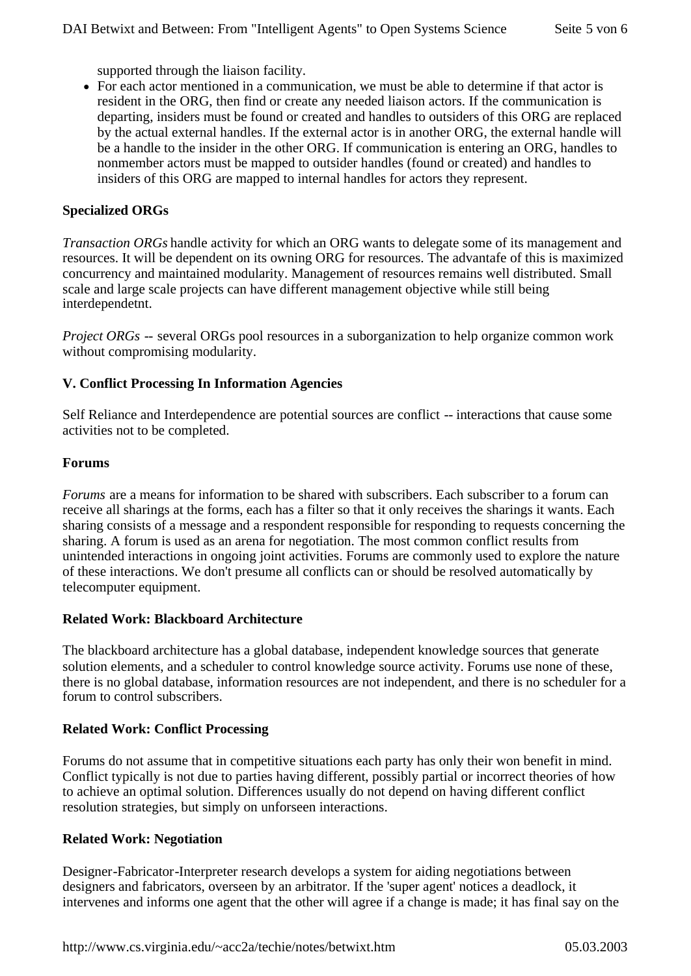supported through the liaison facility.

• For each actor mentioned in a communication, we must be able to determine if that actor is resident in the ORG, then find or create any needed liaison actors. If the communication is departing, insiders must be found or created and handles to outsiders of this ORG are replaced by the actual external handles. If the external actor is in another ORG, the external handle will be a handle to the insider in the other ORG. If communication is entering an ORG, handles to nonmember actors must be mapped to outsider handles (found or created) and handles to insiders of this ORG are mapped to internal handles for actors they represent.

#### **Specialized ORGs**

*Transaction ORGs* handle activity for which an ORG wants to delegate some of its management and resources. It will be dependent on its owning ORG for resources. The advantafe of this is maximized concurrency and maintained modularity. Management of resources remains well distributed. Small scale and large scale projects can have different management objective while still being interdependetnt.

*Project ORGs* -- several ORGs pool resources in a suborganization to help organize common work without compromising modularity.

## **V. Conflict Processing In Information Agencies**

Self Reliance and Interdependence are potential sources are conflict -- interactions that cause some activities not to be completed.

#### **Forums**

*Forums* are a means for information to be shared with subscribers. Each subscriber to a forum can receive all sharings at the forms, each has a filter so that it only receives the sharings it wants. Each sharing consists of a message and a respondent responsible for responding to requests concerning the sharing. A forum is used as an arena for negotiation. The most common conflict results from unintended interactions in ongoing joint activities. Forums are commonly used to explore the nature of these interactions. We don't presume all conflicts can or should be resolved automatically by telecomputer equipment.

#### **Related Work: Blackboard Architecture**

The blackboard architecture has a global database, independent knowledge sources that generate solution elements, and a scheduler to control knowledge source activity. Forums use none of these, there is no global database, information resources are not independent, and there is no scheduler for a forum to control subscribers.

#### **Related Work: Conflict Processing**

Forums do not assume that in competitive situations each party has only their won benefit in mind. Conflict typically is not due to parties having different, possibly partial or incorrect theories of how to achieve an optimal solution. Differences usually do not depend on having different conflict resolution strategies, but simply on unforseen interactions.

#### **Related Work: Negotiation**

Designer-Fabricator-Interpreter research develops a system for aiding negotiations between designers and fabricators, overseen by an arbitrator. If the 'super agent' notices a deadlock, it intervenes and informs one agent that the other will agree if a change is made; it has final say on the